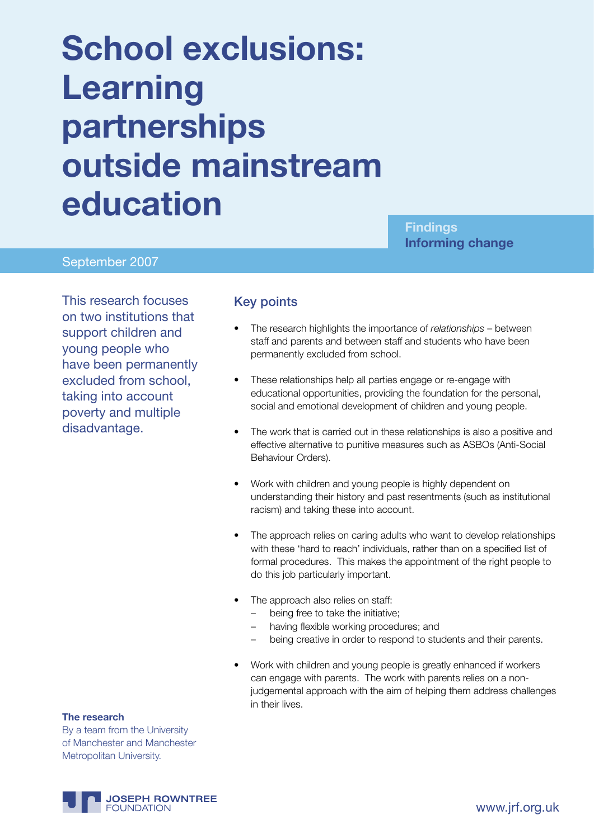# **School exclusions: Learning partnerships outside mainstream education**

**Findings Informing change**

#### September 2007

This research focuses on two institutions that support children and young people who have been permanently excluded from school, taking into account poverty and multiple disadvantage.

#### Key points

- The research highlights the importance of *relationships* between staff and parents and between staff and students who have been permanently excluded from school.
- These relationships help all parties engage or re-engage with educational opportunities, providing the foundation for the personal, social and emotional development of children and young people.
- The work that is carried out in these relationships is also a positive and effective alternative to punitive measures such as ASBOs (Anti-Social Behaviour Orders).
- Work with children and young people is highly dependent on understanding their history and past resentments (such as institutional racism) and taking these into account.
- The approach relies on caring adults who want to develop relationships with these 'hard to reach' individuals, rather than on a specified list of formal procedures. This makes the appointment of the right people to do this job particularly important.
- The approach also relies on staff:
	- being free to take the initiative;
	- having flexible working procedures; and
	- being creative in order to respond to students and their parents.
- Work with children and young people is greatly enhanced if workers can engage with parents. The work with parents relies on a nonjudgemental approach with the aim of helping them address challenges in their lives.

#### **The research**

By a team from the University of Manchester and Manchester Metropolitan University.

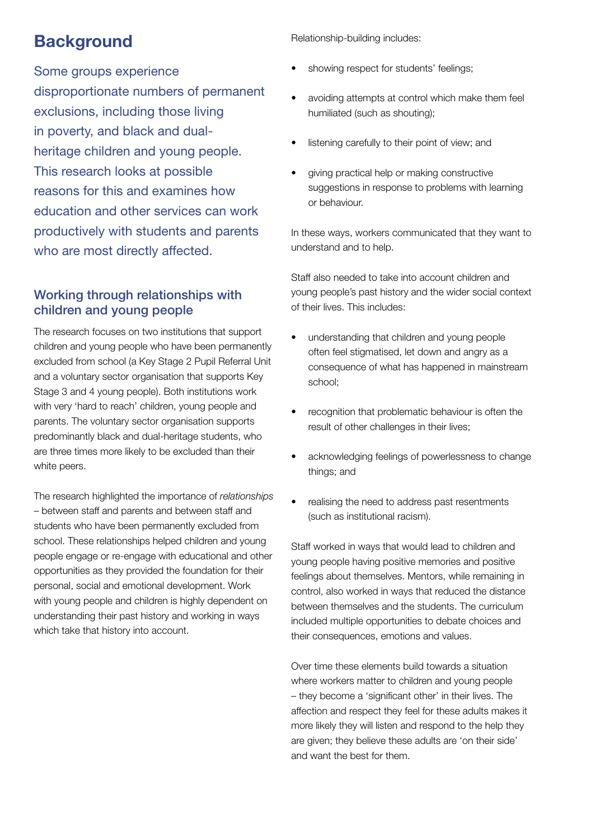## **Background**

Some groups experience disproportionate numbers of permanent exclusions, including those living in poverty, and black and dualheritage children and young people. This research looks at possible reasons for this and examines how education and other services can work productively with students and parents who are most directly affected.

### Working through relationships with children and young people

The research focuses on two institutions that support children and young people who have been permanently excluded from school (a Key Stage 2 Pupil Referral Unit and a voluntary sector organisation that supports Key Stage 3 and 4 young people). Both institutions work with very 'hard to reach' children, young people and parents. The voluntary sector organisation supports predominantly black and dual-heritage students, who are three times more likely to be excluded than their white peers.

The research highlighted the importance of *relationships* – between staff and parents and between staff and students who have been permanently excluded from school. These relationships helped children and young people engage or re-engage with educational and other opportunities as they provided the foundation for their personal, social and emotional development. Work with young people and children is highly dependent on understanding their past history and working in ways which take that history into account.

Relationship-building includes:

- showing respect for students' feelings;
- avoiding attempts at control which make them feel humiliated (such as shouting);
- listening carefully to their point of view; and
- giving practical help or making constructive suggestions in response to problems with learning or behaviour.

In these ways, workers communicated that they want to understand and to help.

Staff also needed to take into account children and young people's past history and the wider social context of their lives. This includes:

- understanding that children and young people often feel stigmatised, let down and angry as a consequence of what has happened in mainstream school;
- recognition that problematic behaviour is often the result of other challenges in their lives;
- acknowledging feelings of powerlessness to change things; and
- realising the need to address past resentments (such as institutional racism).

Staff worked in ways that would lead to children and young people having positive memories and positive feelings about themselves. Mentors, while remaining in control, also worked in ways that reduced the distance between themselves and the students. The curriculum included multiple opportunities to debate choices and their consequences, emotions and values.

Over time these elements build towards a situation where workers matter to children and young people – they become a 'significant other' in their lives. The affection and respect they feel for these adults makes it more likely they will listen and respond to the help they are given; they believe these adults are 'on their side' and want the best for them.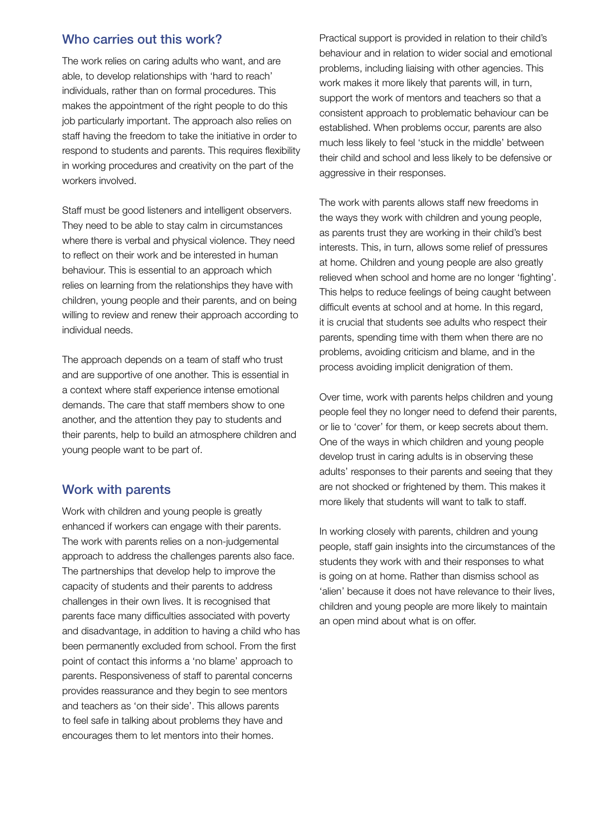#### Who carries out this work?

The work relies on caring adults who want, and are able, to develop relationships with 'hard to reach' individuals, rather than on formal procedures. This makes the appointment of the right people to do this job particularly important. The approach also relies on staff having the freedom to take the initiative in order to respond to students and parents. This requires flexibility in working procedures and creativity on the part of the workers involved.

Staff must be good listeners and intelligent observers. They need to be able to stay calm in circumstances where there is verbal and physical violence. They need to reflect on their work and be interested in human behaviour. This is essential to an approach which relies on learning from the relationships they have with children, young people and their parents, and on being willing to review and renew their approach according to individual needs.

The approach depends on a team of staff who trust and are supportive of one another. This is essential in a context where staff experience intense emotional demands. The care that staff members show to one another, and the attention they pay to students and their parents, help to build an atmosphere children and young people want to be part of.

#### Work with parents

Work with children and young people is greatly enhanced if workers can engage with their parents. The work with parents relies on a non-judgemental approach to address the challenges parents also face. The partnerships that develop help to improve the capacity of students and their parents to address challenges in their own lives. It is recognised that parents face many difficulties associated with poverty and disadvantage, in addition to having a child who has been permanently excluded from school. From the first point of contact this informs a 'no blame' approach to parents. Responsiveness of staff to parental concerns provides reassurance and they begin to see mentors and teachers as 'on their side'. This allows parents to feel safe in talking about problems they have and encourages them to let mentors into their homes.

Practical support is provided in relation to their child's behaviour and in relation to wider social and emotional problems, including liaising with other agencies. This work makes it more likely that parents will, in turn, support the work of mentors and teachers so that a consistent approach to problematic behaviour can be established. When problems occur, parents are also much less likely to feel 'stuck in the middle' between their child and school and less likely to be defensive or aggressive in their responses.

The work with parents allows staff new freedoms in the ways they work with children and young people, as parents trust they are working in their child's best interests. This, in turn, allows some relief of pressures at home. Children and young people are also greatly relieved when school and home are no longer 'fighting'. This helps to reduce feelings of being caught between difficult events at school and at home. In this regard, it is crucial that students see adults who respect their parents, spending time with them when there are no problems, avoiding criticism and blame, and in the process avoiding implicit denigration of them.

Over time, work with parents helps children and young people feel they no longer need to defend their parents, or lie to 'cover' for them, or keep secrets about them. One of the ways in which children and young people develop trust in caring adults is in observing these adults' responses to their parents and seeing that they are not shocked or frightened by them. This makes it more likely that students will want to talk to staff.

In working closely with parents, children and young people, staff gain insights into the circumstances of the students they work with and their responses to what is going on at home. Rather than dismiss school as 'alien' because it does not have relevance to their lives, children and young people are more likely to maintain an open mind about what is on offer.